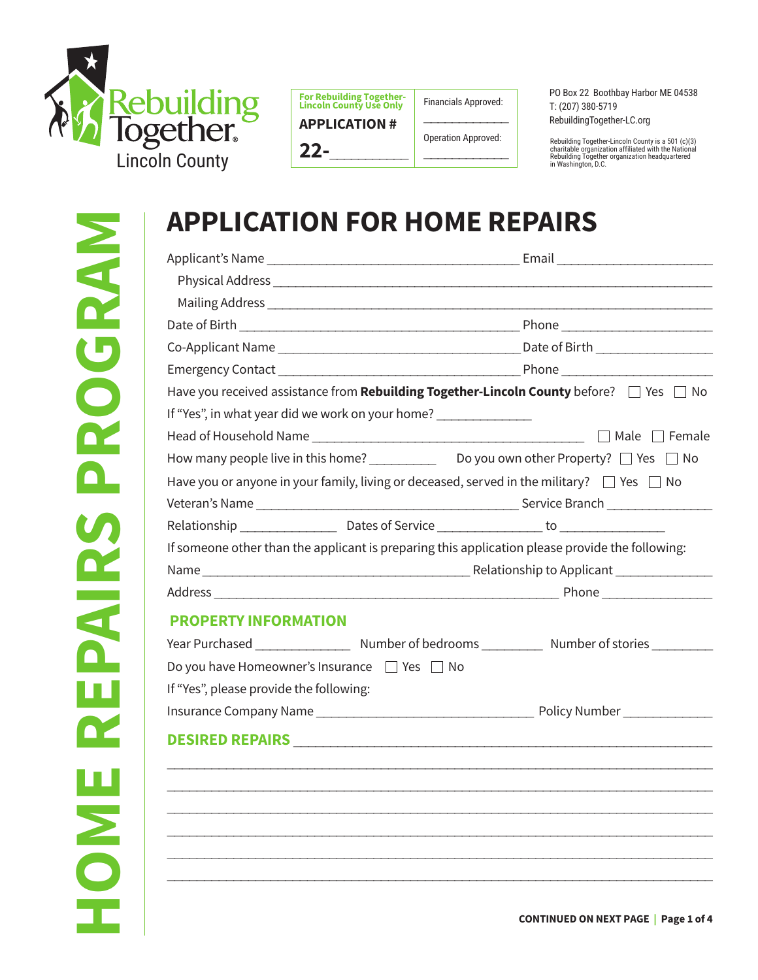

| <b>For Rebuilding Together-</b><br><b>Lincoln County Use Only</b> | Fir |
|-------------------------------------------------------------------|-----|
| <b>APPLICATION #</b>                                              |     |

nancials Approved:  $\overline{\phantom{a}}$ 

> Operation Approved:  $\overline{\phantom{a}}$

**22-**\_\_\_\_\_\_\_\_\_\_\_

RebuildingTogether-LC.org

PO Box 22 Boothbay Harbor ME 04538

T: (207) 380-5719

Rebuilding Together-Lincoln County is a 501 (c)(3) charitable organization affiliated with the National Rebuilding Together organization headquartered in Washington, D.C.

|                                                                                                     | Have you received assistance from <b>Rebuilding Together-Lincoln County</b> before? $\Box$ Yes $\Box$ No |
|-----------------------------------------------------------------------------------------------------|----------------------------------------------------------------------------------------------------------|
| If "Yes", in what year did we work on your home? _______________                                    |                                                                                                          |
|                                                                                                     |                                                                                                          |
|                                                                                                     |                                                                                                          |
| Have you or anyone in your family, living or deceased, served in the military? $\Box$ Yes $\Box$ No |                                                                                                          |
|                                                                                                     |                                                                                                          |
| If someone other than the applicant is preparing this application please provide the following:     |                                                                                                          |
|                                                                                                     |                                                                                                          |
|                                                                                                     |                                                                                                          |
|                                                                                                     |                                                                                                          |
| <b>PROPERTY INFORMATION</b>                                                                         |                                                                                                          |
|                                                                                                     |                                                                                                          |
| Do you have Homeowner's Insurance □ Yes □ No                                                        |                                                                                                          |
| If "Yes", please provide the following:                                                             |                                                                                                          |
|                                                                                                     |                                                                                                          |
|                                                                                                     |                                                                                                          |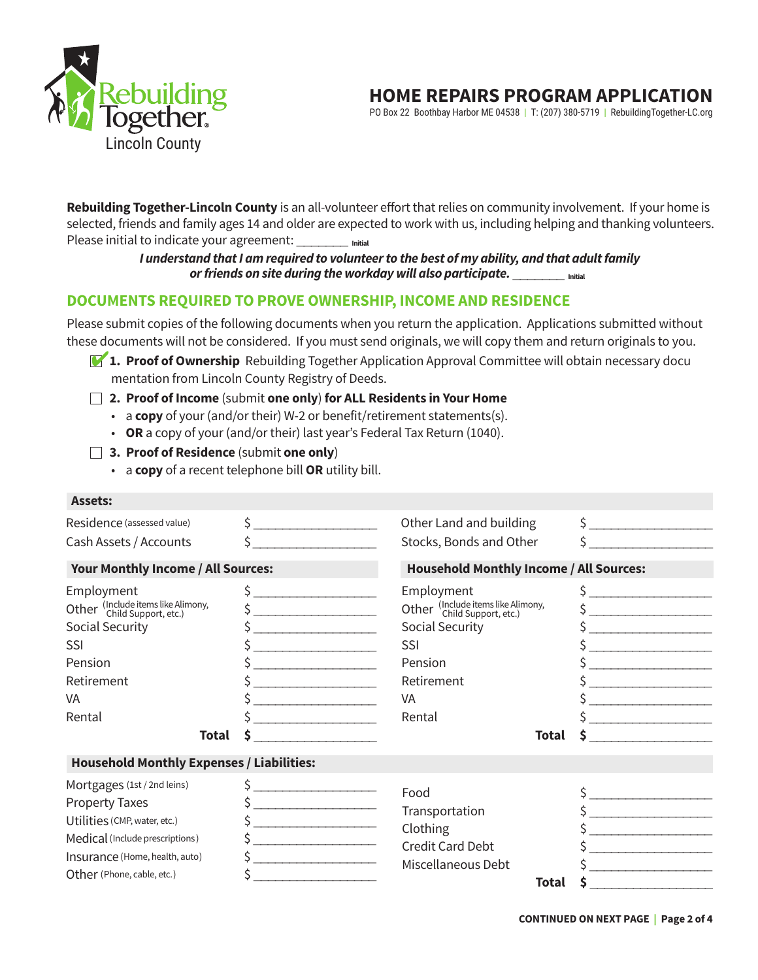

# **HOME REPAIRS PROGRAM APPLICATION**

PO Box 22 Boothbay Harbor ME 04538 | T: (207) 380-5719 | RebuildingTogether-LC.org

Rebuilding Together-Lincoln County is an all-volunteer effort that relies on community involvement. If your home is selected, friends and family ages 14 and older are expected to work with us, including helping and thanking volunteers. Please initial to indicate your agreement: \_\_\_\_\_\_\_ **Initial**

## I understand that I am required to volunteer to the best of my ability, and that adult family or friends on site during the workday will also participate. \_\_\_\_\_\_\_\_\_\_ Initial

# **DOCUMENTS REQUIRED TO PROVE OWNERSHIP, INCOME AND RESIDENCE**

Please submit copies of the following documents when you return the application. Applications submitted without these documents will not be considered. If you must send originals, we will copy them and return originals to you.

- **1. Proof of Ownership** Rebuilding Together Application Approval Committee will obtain necessary docu mentation from Lincoln County Registry of Deeds.
- **2. Proof of Income** (submit **one only**) **for ALL Residents in Your Home**
	- a **copy** of your (and/or their) W-2 or benefit/retirement statements(s).
	- **OR** a copy of your (and/or their) last year's Federal Tax Return (1040).
- **3. Proof of Residence** (submit **one only**)
	- a **copy** of a recent telephone bill **OR** utility bill.

|                                                                                                                                                                                                                                                                                                                                                                                                                                                                                                                   | Other Land and building                                                                                                                                            | $\frac{1}{2}$                                                                                                                                                                                                                                                                                                                                                                                                                                             |  |  |  |
|-------------------------------------------------------------------------------------------------------------------------------------------------------------------------------------------------------------------------------------------------------------------------------------------------------------------------------------------------------------------------------------------------------------------------------------------------------------------------------------------------------------------|--------------------------------------------------------------------------------------------------------------------------------------------------------------------|-----------------------------------------------------------------------------------------------------------------------------------------------------------------------------------------------------------------------------------------------------------------------------------------------------------------------------------------------------------------------------------------------------------------------------------------------------------|--|--|--|
| $\sim$                                                                                                                                                                                                                                                                                                                                                                                                                                                                                                            | Stocks, Bonds and Other                                                                                                                                            | $\sim$ $\sim$                                                                                                                                                                                                                                                                                                                                                                                                                                             |  |  |  |
| Your Monthly Income / All Sources:                                                                                                                                                                                                                                                                                                                                                                                                                                                                                |                                                                                                                                                                    | <b>Household Monthly Income / All Sources:</b>                                                                                                                                                                                                                                                                                                                                                                                                            |  |  |  |
| $\frac{1}{2}$<br>$\frac{1}{2}$<br>the contract of the contract of the<br>the control of the control of the control of<br>the control of the control of the con-                                                                                                                                                                                                                                                                                                                                                   | Employment<br>Other (Include items like Alimony,<br>Child Support, etc.)<br>Social Security<br><b>SSI</b><br>Pension<br>Retirement<br>VA<br>Rental<br><b>Total</b> | $\sim$<br>$\frac{1}{2}$<br>$\sim$<br>the contract of the contract of the contract of<br>S                                                                                                                                                                                                                                                                                                                                                                 |  |  |  |
| <b>Household Monthly Expenses / Liabilities:</b>                                                                                                                                                                                                                                                                                                                                                                                                                                                                  |                                                                                                                                                                    |                                                                                                                                                                                                                                                                                                                                                                                                                                                           |  |  |  |
| $\frac{1}{2}$<br>$\begin{array}{cccccccccc} \multicolumn{2}{c}{} & \multicolumn{2}{c}{} & \multicolumn{2}{c}{} & \multicolumn{2}{c}{} & \multicolumn{2}{c}{} & \multicolumn{2}{c}{} & \multicolumn{2}{c}{} & \multicolumn{2}{c}{} & \multicolumn{2}{c}{} & \multicolumn{2}{c}{} & \multicolumn{2}{c}{} & \multicolumn{2}{c}{} & \multicolumn{2}{c}{} & \multicolumn{2}{c}{} & \multicolumn{2}{c}{} & \multicolumn{2}{c}{} & \multicolumn{2}{c}{} & \multicolumn{2}{c}{} & \multicolumn{2}{c}{} & \mult$<br>$\sim$ | Food<br>Transportation<br>Clothing<br><b>Credit Card Debt</b><br>Miscellaneous Debt<br><b>Total</b>                                                                | $\frac{1}{2}$<br>$\begin{array}{cccccccccc} \hline \end{array} \hspace{2em} \begin{array}{cccccccccc} \hline \end{array} \hspace{2em} \begin{array}{cccccccccc} \hline \end{array} \hspace{2em} \begin{array}{cccccccccc} \hline \end{array} \hspace{2em} \begin{array}{cccccccccc} \hline \end{array} \hspace{2em} \begin{array}{cccccccccc} \hline \end{array} \hspace{2em} \begin{array}{cccccccccc} \hline \end{array} \hspace{2em} \end{array}$<br>Ś |  |  |  |
|                                                                                                                                                                                                                                                                                                                                                                                                                                                                                                                   | $\frac{1}{2}$                                                                                                                                                      |                                                                                                                                                                                                                                                                                                                                                                                                                                                           |  |  |  |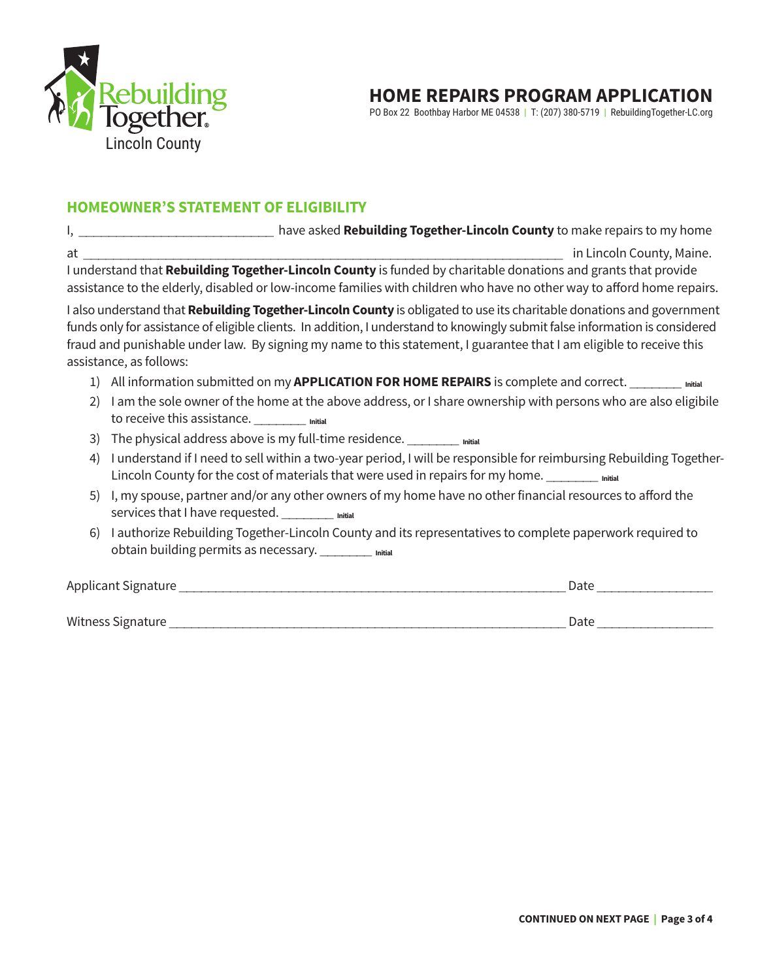

# **HOME REPAIRS PROGRAM APPLICATION**

PO Box 22 Boothbay Harbor ME 04538 | T: (207) 380-5719 | RebuildingTogether-LC.org

## **HOMEOWNER'S STATEMENT OF ELIGIBILITY**

I, **I** and the vertex of the vertex of the vertex have asked **Rebuilding Together-Lincoln County** to make repairs to my home at the country Maine of the country of the country of the country of the country Maine. I understand that **Rebuilding Together-Lincoln County** is funded by charitable donations and grants that provide assistance to the elderly, disabled or low-income families with children who have no other way to afford home repairs.

I also understand that **Rebuilding Together-Lincoln County** is obligated to use its charitable donations and government funds only for assistance of eligible clients. In addition, I understand to knowingly submit false information is considered fraud and punishable under law. By signing my name to this statement, I guarantee that I am eligible to receive this assistance, as follows:

- 1) All information submitted on my **APPLICATION FOR HOME REPAIRS** is complete and correct. \_\_\_\_\_\_\_ **Initial**
- 2) I am the sole owner of the home at the above address, or I share ownership with persons who are also eligibile to receive this assistance. \_\_\_\_\_\_\_ **Initial**
- 3) The physical address above is my full-time residence.
- 4) I understand if I need to sell within a two-year period, I will be responsible for reimbursing Rebuilding Together- Lincoln County for the cost of materials that were used in repairs for my home.
- 5) I, my spouse, partner and/or any other owners of my home have no other financial resources to afford the services that I have requested. \_\_\_\_\_\_\_\_ Initial
- 6) I authorize Rebuilding Together-Lincoln County and its representatives to complete paperwork required to obtain building permits as necessary. \_\_\_\_\_\_\_ **Initial**

Applicant Signature **Exercise 2 and 2 and 2 and 2 and 2 and 2 and 2 and 2 and 2 and 2 and 2 and 2 and 2 and 2 and 2** 

Witness Signature \_\_\_\_\_\_\_\_\_\_\_\_\_\_\_\_\_\_\_\_\_\_\_\_\_\_\_\_\_\_\_\_\_\_\_\_\_\_\_\_\_\_\_\_\_\_\_\_\_\_\_\_\_\_ Date \_\_\_\_\_\_\_\_\_\_\_\_\_\_\_\_